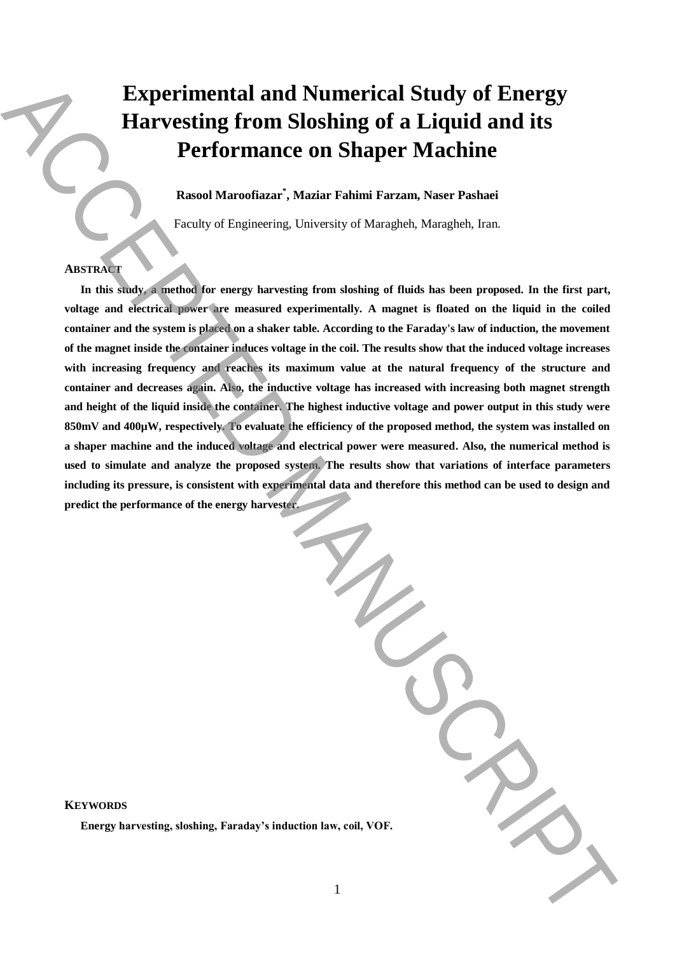# **Experimental and Numerical Study of Energy Harvesting from Sloshing of a Liquid and its Performance on Shaper Machine**

**Rasool Maroofiazar\* , Maziar Fahimi Farzam, Naser Pashaei** 

Faculty of Engineering, University of Maragheh, Maragheh, Iran.

# **ABSTRACT**

**In this study, a method for energy harvesting from sloshing of fluids has been proposed. In the first part, voltage and electrical power are measured experimentally. A magnet is floated on the liquid in the coiled container and the system is placed on a shaker table. According to the Faraday's law of induction, the movement of the magnet inside the container induces voltage in the coil. The results show that the induced voltage increases with increasing frequency and reaches its maximum value at the natural frequency of the structure and container and decreases again. Also, the inductive voltage has increased with increasing both magnet strength and height of the liquid inside the container. The highest inductive voltage and power output in this study were 850mV and 400µW, respectively. To evaluate the efficiency of the proposed method, the system was installed on a shaper machine and the induced voltage and electrical power were measured. Also, the numerical method is used to simulate and analyze the proposed system. The results show that variations of interface parameters including its pressure, is consistent with experimental data and therefore this method can be used to design and predict the performance of the energy harvester. Experimental and Numerical Study of Energy<br>
<b>Harvesting from Sloshing of a Liquid and its**<br> **Performance on Shaper Machine**<br> **Energy** *Konstant Machines*<br> **Energy** *A* **relation of** *Christians***<br>
<b>Energy** *Christians*<br> **Ene** 

| VOF. |  |
|------|--|

**KEYWORDS**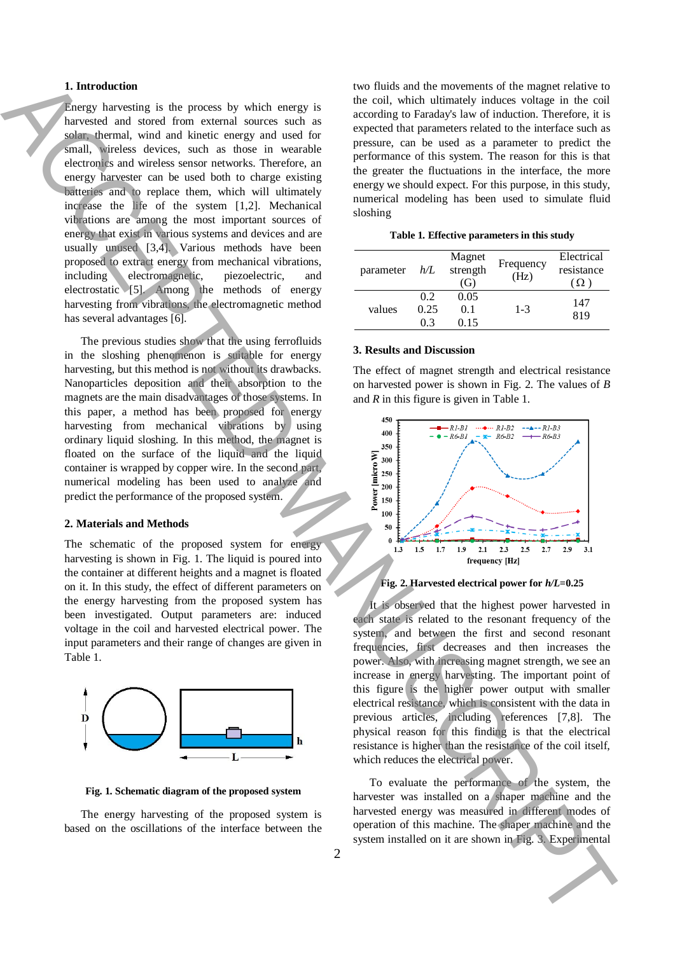## **1. Introduction**

Energy harvesting is the process by which energy is harvested and stored from external sources such as solar, thermal, wind and kinetic energy and used for small, wireless devices, such as those in wearable electronics and wireless sensor networks. Therefore, an energy harvester can be used both to charge existing batteries and to replace them, which will ultimately increase the life of the system [1,2]. Mechanical vibrations are among the most important sources of energy that exist in various systems and devices and are usually unused [3,4]. Various methods have been proposed to extract energy from mechanical vibrations, including electromagnetic, piezoelectric, and electrostatic [5]. Among the methods of energy harvesting from vibrations, the electromagnetic method has several advantages [6]. **Learny installed on its control of the system installed on its control of the system in the system in the system in the system in the system in the system in the system in the system in the system in the system in the sy** 

The previous studies show that the using ferrofluids in the sloshing phenomenon is suitable for energy harvesting, but this method is not without its drawbacks. Nanoparticles deposition and their absorption to the magnets are the main disadvantages of those systems. In this paper, a method has been proposed for energy harvesting from mechanical vibrations by using ordinary liquid sloshing. In this method, the magnet is floated on the surface of the liquid and the liquid container is wrapped by copper wire. In the second part, numerical modeling has been used to analyze and predict the performance of the proposed system.

#### **2. Materials and Methods**

The schematic of the proposed system for energy harvesting is shown in Fig. 1. The liquid is poured into the container at different heights and a magnet is floated on it. In this study, the effect of different parameters on the energy harvesting from the proposed system has been investigated. Output parameters are: induced voltage in the coil and harvested electrical power. The input parameters and their range of changes are given in Table 1.



**Fig. 1. Schematic diagram of the proposed system**

The energy harvesting of the proposed system is based on the oscillations of the interface between the two fluids and the movements of the magnet relative to the coil, which ultimately induces voltage in the coil according to Faraday's law of induction. Therefore, it is expected that parameters related to the interface such as pressure, can be used as a parameter to predict the performance of this system. The reason for this is that the greater the fluctuations in the interface, the more energy we should expect. For this purpose, in this study, numerical modeling has been used to simulate fluid sloshing

|  |  | Table 1. Effective parameters in this study |  |  |
|--|--|---------------------------------------------|--|--|
|--|--|---------------------------------------------|--|--|

| parameter | h/L        | Magnet<br>strength<br>(G) | Frequency<br>(Hz) | Electrical<br>resistance |
|-----------|------------|---------------------------|-------------------|--------------------------|
| values    | 02<br>0.25 | 0.05<br>0.1               | $1 - 3$           | 147                      |
|           | 0 3        | 0.15                      |                   | 819                      |

#### **3. Results and Discussion**

The effect of magnet strength and electrical resistance on harvested power is shown in Fig. 2. The values of *B* and *R* in this figure is given in Table 1.





It is observed that the highest power harvested in each state is related to the resonant frequency of the system, and between the first and second resonant frequencies, first decreases and then increases the power. Also, with increasing magnet strength, we see an increase in energy harvesting. The important point of this figure is the higher power output with smaller electrical resistance, which is consistent with the data in previous articles, including references [7,8]. The physical reason for this finding is that the electrical resistance is higher than the resistance of the coil itself, which reduces the electrical power.

To evaluate the performance of the system, the harvester was installed on a shaper machine and the harvested energy was measured in different modes of operation of this machine. The shaper machine and the